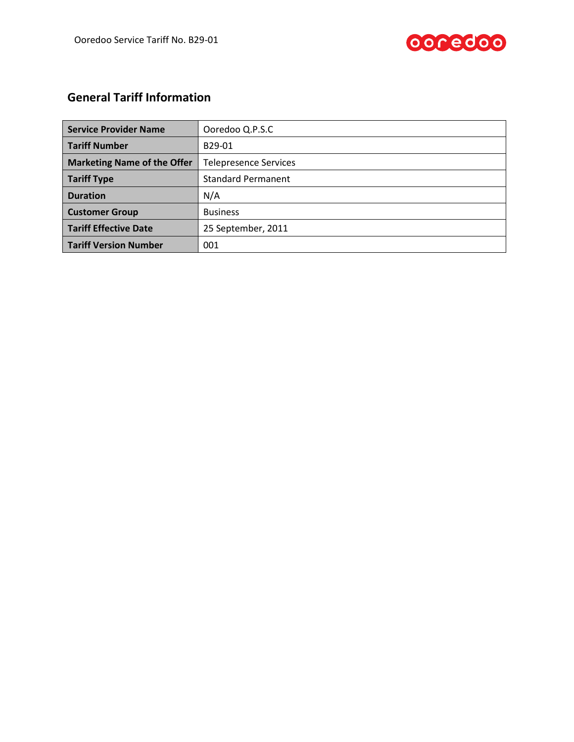



# **General Tariff Information**

| <b>Service Provider Name</b>       | Ooredoo Q.P.S.C              |  |
|------------------------------------|------------------------------|--|
| <b>Tariff Number</b>               | B29-01                       |  |
| <b>Marketing Name of the Offer</b> | <b>Telepresence Services</b> |  |
| Tariff Type                        | <b>Standard Permanent</b>    |  |
| <b>Duration</b>                    | N/A                          |  |
| <b>Customer Group</b>              | <b>Business</b>              |  |
| Tariff Effective Date              | 25 September, 2011           |  |
| <b>Tariff Version Number</b>       | 001                          |  |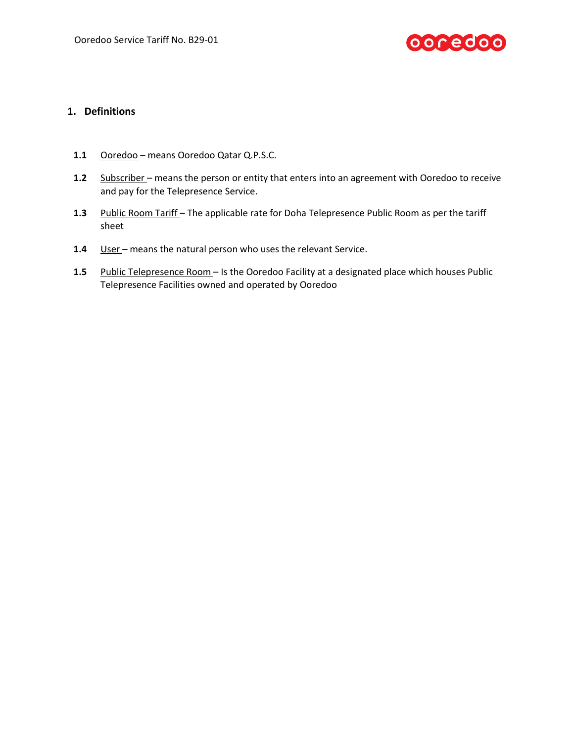

# **1. Definitions**

- **1.1** Ooredoo means Ooredoo Qatar Q.P.S.C.
- **1.2** Subscriber means the person or entity that enters into an agreement with Ooredoo to receive and pay for the Telepresence Service.
- **1.3** Public Room Tariff The applicable rate for Doha Telepresence Public Room as per the tariff sheet
- 1.4 User means the natural person who uses the relevant Service.
- **1.5** Public Telepresence Room Is the Ooredoo Facility at a designated place which houses Public Telepresence Facilities owned and operated by Ooredoo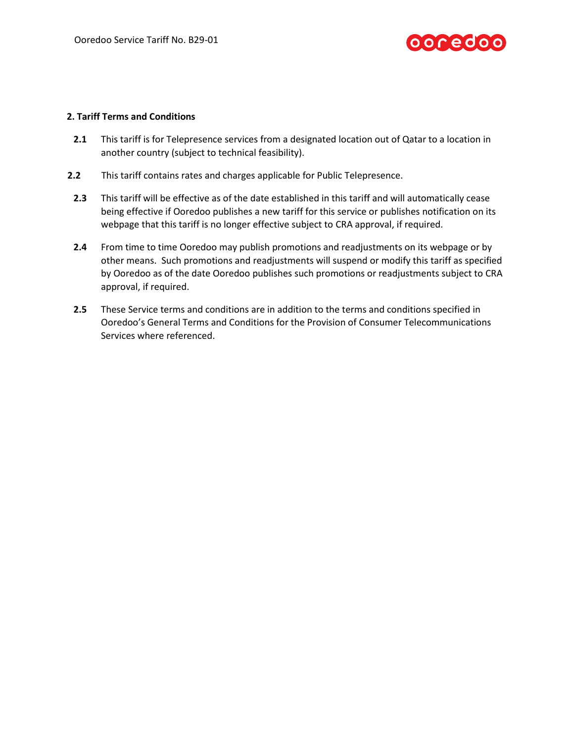

#### **2. Tariff Terms and Conditions**

- **2.1** This tariff is for Telepresence services from a designated location out of Qatar to a location in another country (subject to technical feasibility).
- **2.2** This tariff contains rates and charges applicable for Public Telepresence.
- **2.3** This tariff will be effective as of the date established in this tariff and will automatically cease being effective if Ooredoo publishes a new tariff for this service or publishes notification on its webpage that this tariff is no longer effective subject to CRA approval, if required.
- **2.4** From time to time Ooredoo may publish promotions and readjustments on its webpage or by other means. Such promotions and readjustments will suspend or modify this tariff as specified by Ooredoo as of the date Ooredoo publishes such promotions or readjustments subject to CRA approval, if required.
- **2.5** These Service terms and conditions are in addition to the terms and conditions specified in Ooredoo's General Terms and Conditions for the Provision of Consumer Telecommunications Services where referenced.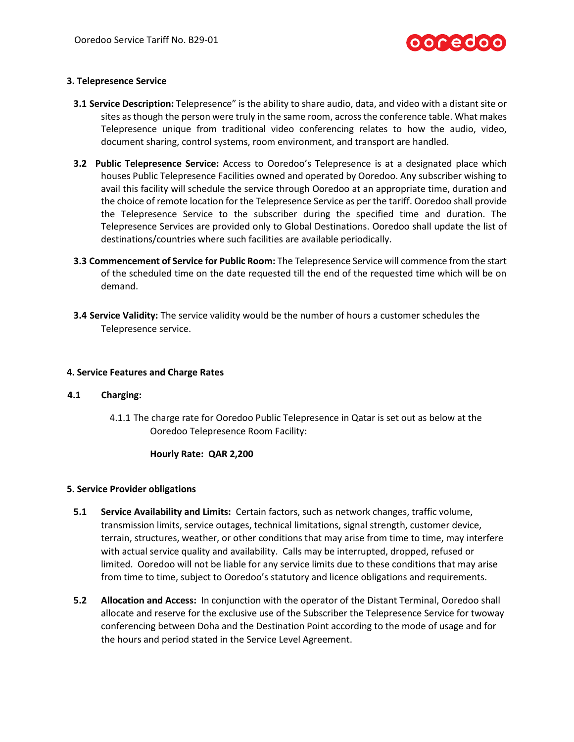

## **3. Telepresence Service**

- **3.1 Service Description:** Telepresence" is the ability to share audio, data, and video with a distant site or sites as though the person were truly in the same room, across the conference table. What makes Telepresence unique from traditional video conferencing relates to how the audio, video, document sharing, control systems, room environment, and transport are handled.
- **3.2 Public Telepresence Service:** Access to Ooredoo's Telepresence is at a designated place which houses Public Telepresence Facilities owned and operated by Ooredoo. Any subscriber wishing to avail this facility will schedule the service through Ooredoo at an appropriate time, duration and the choice of remote location for the Telepresence Service as per the tariff. Ooredoo shall provide the Telepresence Service to the subscriber during the specified time and duration. The Telepresence Services are provided only to Global Destinations. Ooredoo shall update the list of destinations/countries where such facilities are available periodically.
- **3.3 Commencement of Service for Public Room:** The Telepresence Service will commence from the start of the scheduled time on the date requested till the end of the requested time which will be on demand.
- **3.4 Service Validity:** The service validity would be the number of hours a customer schedules the Telepresence service.

#### **4. Service Features and Charge Rates**

#### **4.1 Charging:**

4.1.1 The charge rate for Ooredoo Public Telepresence in Qatar is set out as below at the Ooredoo Telepresence Room Facility:

#### **Hourly Rate: QAR 2,200**

#### **5. Service Provider obligations**

- **5.1 Service Availability and Limits:** Certain factors, such as network changes, traffic volume, transmission limits, service outages, technical limitations, signal strength, customer device, terrain, structures, weather, or other conditions that may arise from time to time, may interfere with actual service quality and availability. Calls may be interrupted, dropped, refused or limited. Ooredoo will not be liable for any service limits due to these conditions that may arise from time to time, subject to Ooredoo's statutory and licence obligations and requirements.
- **5.2 Allocation and Access:** In conjunction with the operator of the Distant Terminal, Ooredoo shall allocate and reserve for the exclusive use of the Subscriber the Telepresence Service for twoway conferencing between Doha and the Destination Point according to the mode of usage and for the hours and period stated in the Service Level Agreement.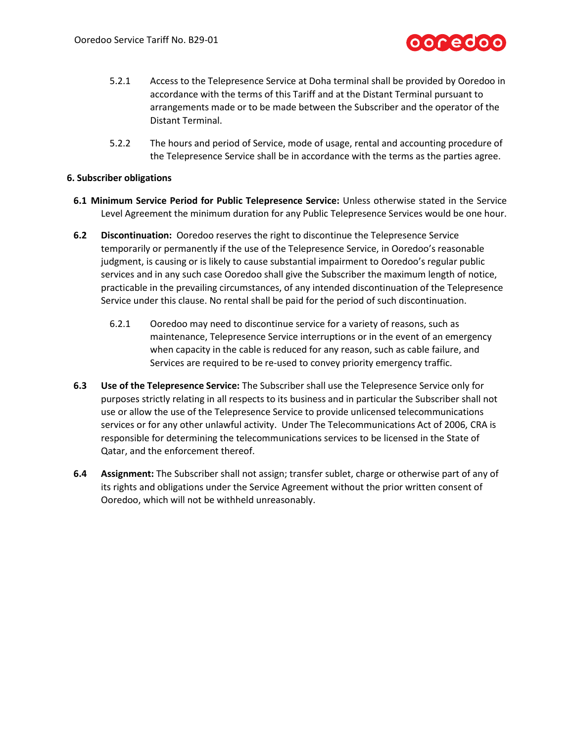

- 5.2.1 Access to the Telepresence Service at Doha terminal shall be provided by Ooredoo in accordance with the terms of this Tariff and at the Distant Terminal pursuant to arrangements made or to be made between the Subscriber and the operator of the Distant Terminal.
- 5.2.2 The hours and period of Service, mode of usage, rental and accounting procedure of the Telepresence Service shall be in accordance with the terms as the parties agree.

## **6. Subscriber obligations**

- **6.1 Minimum Service Period for Public Telepresence Service:** Unless otherwise stated in the Service Level Agreement the minimum duration for any Public Telepresence Services would be one hour.
- **6.2 Discontinuation:** Ooredoo reserves the right to discontinue the Telepresence Service temporarily or permanently if the use of the Telepresence Service, in Ooredoo's reasonable judgment, is causing or is likely to cause substantial impairment to Ooredoo's regular public services and in any such case Ooredoo shall give the Subscriber the maximum length of notice, practicable in the prevailing circumstances, of any intended discontinuation of the Telepresence Service under this clause. No rental shall be paid for the period of such discontinuation.
	- 6.2.1 Ooredoo may need to discontinue service for a variety of reasons, such as maintenance, Telepresence Service interruptions or in the event of an emergency when capacity in the cable is reduced for any reason, such as cable failure, and Services are required to be re-used to convey priority emergency traffic.
- **6.3 Use of the Telepresence Service:** The Subscriber shall use the Telepresence Service only for purposes strictly relating in all respects to its business and in particular the Subscriber shall not use or allow the use of the Telepresence Service to provide unlicensed telecommunications services or for any other unlawful activity. Under The Telecommunications Act of 2006, CRA is responsible for determining the telecommunications services to be licensed in the State of Qatar, and the enforcement thereof.
- **6.4 Assignment:** The Subscriber shall not assign; transfer sublet, charge or otherwise part of any of its rights and obligations under the Service Agreement without the prior written consent of Ooredoo, which will not be withheld unreasonably.